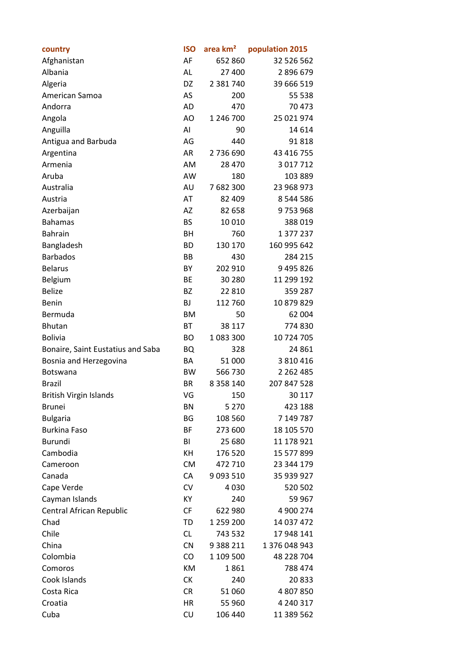| country                           | <b>ISO</b> | area km <sup>2</sup> | population 2015 |
|-----------------------------------|------------|----------------------|-----------------|
| Afghanistan                       | AF         | 652 860              | 32 526 562      |
| Albania                           | AL         | 27 400               | 2896679         |
| Algeria                           | DZ         | 2 3 8 1 7 4 0        | 39 666 519      |
| American Samoa                    | AS         | 200                  | 55 538          |
| Andorra                           | AD         | 470                  | 70 473          |
| Angola                            | AO         | 1 246 700            | 25 021 974      |
| Anguilla                          | Al         | 90                   | 14 6 14         |
| Antigua and Barbuda               | AG         | 440                  | 91818           |
| Argentina                         | AR         | 2736690              | 43 416 755      |
| Armenia                           | AM         | 28 470               | 3 017 712       |
| Aruba                             | AW         | 180                  | 103 889         |
| Australia                         | AU         | 7682300              | 23 968 973      |
| Austria                           | AT         | 82 409               | 8 544 586       |
| Azerbaijan                        | AZ         | 82 658               | 9753968         |
| <b>Bahamas</b>                    | <b>BS</b>  | 10 0 10              | 388 019         |
| <b>Bahrain</b>                    | BH         | 760                  | 1 377 237       |
| Bangladesh                        | <b>BD</b>  | 130 170              | 160 995 642     |
| <b>Barbados</b>                   | BB         | 430                  | 284 215         |
| <b>Belarus</b>                    | BY         | 202 910              | 9 495 826       |
| Belgium                           | <b>BE</b>  | 30 280               | 11 299 192      |
| <b>Belize</b>                     | <b>BZ</b>  | 22 810               | 359 287         |
| <b>Benin</b>                      | BJ         | 112 760              | 10 879 829      |
| Bermuda                           | BM         | 50                   | 62 004          |
| <b>Bhutan</b>                     | BT         | 38 117               | 774 830         |
| <b>Bolivia</b>                    | <b>BO</b>  | 1083300              | 10 724 705      |
| Bonaire, Saint Eustatius and Saba | BQ         | 328                  | 24 861          |
| Bosnia and Herzegovina            | BA         | 51 000               | 3 810 416       |
| <b>Botswana</b>                   | <b>BW</b>  | 566 730              | 2 2 6 2 4 8 5   |
| Brazil                            | <b>BR</b>  | 8 3 5 8 1 4 0        | 207 847 528     |
| British Virgin Islands            | VG         | 150                  | 30 117          |
| <b>Brunei</b>                     | <b>BN</b>  | 5 2 7 0              | 423 188         |
| <b>Bulgaria</b>                   | BG         | 108 560              | 7 149 787       |
| <b>Burkina Faso</b>               | BF         | 273 600              | 18 105 570      |
| <b>Burundi</b>                    | BI         | 25 680               | 11 178 921      |
| Cambodia                          | KH         | 176 520              | 15 577 899      |
| Cameroon                          | <b>CM</b>  | 472 710              | 23 344 179      |
| Canada                            | CA         | 9 093 510            | 35 939 927      |
| Cape Verde                        | <b>CV</b>  | 4030                 | 520 502         |
| Cayman Islands                    | KY         | 240                  | 59 967          |
| Central African Republic          | <b>CF</b>  | 622 980              | 4 900 274       |
| Chad                              | TD         | 1 259 200            | 14 037 472      |
| Chile                             | <b>CL</b>  | 743 532              | 17 948 141      |
| China                             | <b>CN</b>  | 9 3 8 2 1 1          | 1 376 048 943   |
| Colombia                          | CO         | 1 109 500            | 48 228 704      |
| Comoros                           | KM         | 1861                 | 788 474         |
| Cook Islands                      | <b>CK</b>  | 240                  | 20833           |
| Costa Rica                        | <b>CR</b>  | 51 060               | 4 807 850       |
| Croatia                           | HR         | 55 960               | 4 240 317       |
| Cuba                              | CU         | 106 440              | 11 389 562      |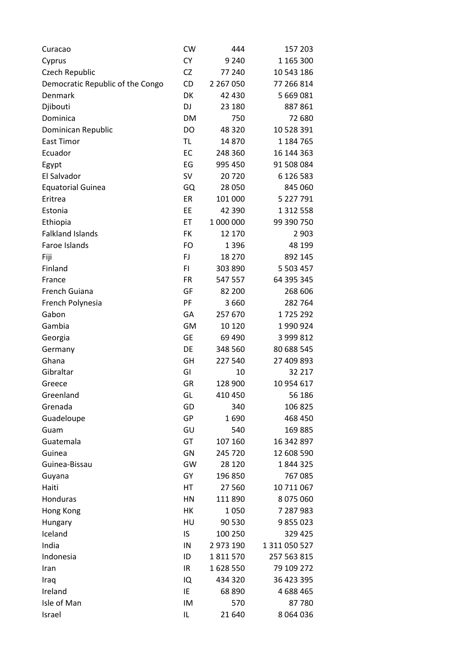| Curacao                          | <b>CW</b> | 444       | 157 203       |
|----------------------------------|-----------|-----------|---------------|
| Cyprus                           | <b>CY</b> | 9 2 4 0   | 1 165 300     |
| Czech Republic                   | CZ        | 77 240    | 10 543 186    |
| Democratic Republic of the Congo | CD        | 2 267 050 | 77 266 814    |
| Denmark                          | DK        | 42 430    | 5 669 081     |
| Djibouti                         | DJ        | 23 180    | 887861        |
| Dominica                         | DM        | 750       | 72 680        |
| Dominican Republic               | DO        | 48 3 20   | 10 528 391    |
| <b>East Timor</b>                | TL        | 14 870    | 1 184 765     |
| Ecuador                          | EC        | 248 360   | 16 144 363    |
| Egypt                            | EG        | 995 450   | 91 508 084    |
| El Salvador                      | <b>SV</b> | 20720     | 6 126 583     |
| <b>Equatorial Guinea</b>         | GQ        | 28 050    | 845 060       |
| Eritrea                          | ER        | 101 000   | 5 227 791     |
| Estonia                          | EE        | 42 390    | 1 3 1 2 5 5 8 |
| Ethiopia                         | ET        | 1 000 000 | 99 390 750    |
| <b>Falkland Islands</b>          | FK        | 12 170    | 2 9 0 3       |
| Faroe Islands                    | <b>FO</b> | 1 3 9 6   | 48 199        |
| Fiji                             | FJ        | 18 270    | 892 145       |
| Finland                          | FI        | 303 890   | 5 5 0 3 4 5 7 |
| France                           | FR        | 547 557   | 64 395 345    |
| French Guiana                    | GF        | 82 200    | 268 606       |
| French Polynesia                 | PF        | 3 6 6 0   | 282 764       |
| Gabon                            | GA        | 257 670   | 1725292       |
| Gambia                           | GM        | 10 1 20   | 1990924       |
| Georgia                          | GE        | 69 490    | 3 999 812     |
| Germany                          | DE        | 348 560   | 80 688 545    |
| Ghana                            | GH        | 227 540   | 27 409 893    |
| Gibraltar                        | GI        | 10        | 32 217        |
| Greece                           | GR        | 128 900   | 10 954 617    |
| Greenland                        | GL        | 410 450   | 56 186        |
| Grenada                          | GD        | 340       | 106 825       |
| Guadeloupe                       | GP        | 1690      | 468 450       |
| Guam                             | GU        | 540       | 169885        |
| Guatemala                        | GT        | 107 160   | 16 342 897    |
| Guinea                           | GN        | 245 720   | 12 608 590    |
| Guinea-Bissau                    | GW        | 28 1 20   | 1844325       |
| Guyana                           | GY        | 196 850   | 767 085       |
| Haiti                            | HT        | 27 560    | 10 711 067    |
| Honduras                         | HN        | 111 890   | 8 075 060     |
| Hong Kong                        | HK        | 1050      | 7 287 983     |
| Hungary                          | HU        | 90 530    | 9855023       |
| Iceland                          | IS        | 100 250   | 329 425       |
| India                            | IN        | 2 973 190 | 1 311 050 527 |
| Indonesia                        | ID        | 1811570   | 257 563 815   |
| Iran                             | IR        | 1628550   | 79 109 272    |
| Iraq                             | IQ        | 434 320   | 36 423 395    |
| Ireland                          | IE        | 68890     | 4 688 465     |
| Isle of Man                      | IM        | 570       | 87780         |
| Israel                           | IL        | 21 640    | 8 0 6 4 0 3 6 |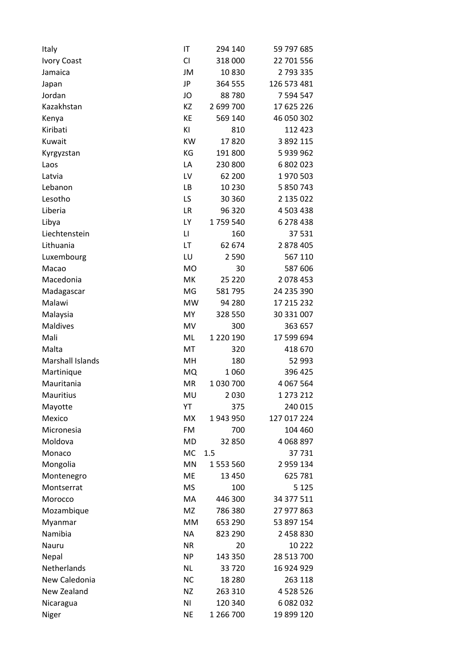| Italy                   | IT        | 294 140       | 59 797 685  |
|-------------------------|-----------|---------------|-------------|
| <b>Ivory Coast</b>      | <b>CI</b> | 318 000       | 22 701 556  |
| Jamaica                 | JM        | 10830         | 2793335     |
| Japan                   | JP        | 364 555       | 126 573 481 |
| Jordan                  | JO        | 88780         | 7 594 547   |
| Kazakhstan              | KZ        | 2 699 700     | 17 625 226  |
| Kenya                   | KE        | 569 140       | 46 050 302  |
| Kiribati                | ΚI        | 810           | 112 423     |
| Kuwait                  | <b>KW</b> | 17820         | 3 892 115   |
| Kyrgyzstan              | КG        | 191 800       | 5939962     |
| Laos                    | LA        | 230 800       | 6 802 023   |
| Latvia                  | LV        | 62 200        | 1970503     |
| Lebanon                 | LВ        | 10 230        | 5 850 743   |
| Lesotho                 | LS        | 30 360        | 2 135 022   |
| Liberia                 | LR        | 96 320        | 4 503 438   |
| Libya                   | LY        | 1759540       | 6 278 438   |
| Liechtenstein           | LI        | 160           | 37 531      |
| Lithuania               | LT        | 62 674        | 2 878 405   |
| Luxembourg              | LU        | 2 5 9 0       | 567 110     |
| Macao                   | <b>MO</b> | 30            | 587 606     |
| Macedonia               | MK        | 25 2 20       | 2078453     |
| Madagascar              | MG        | 581795        | 24 235 390  |
| Malawi                  | <b>MW</b> | 94 280        | 17 215 232  |
| Malaysia                | MY        | 328 550       | 30 331 007  |
| Maldives                | MV        | 300           | 363 657     |
| Mali                    | ML        | 1 2 2 0 1 9 0 | 17 599 694  |
| Malta                   | MT        | 320           | 418 670     |
| <b>Marshall Islands</b> | MH        | 180           | 52 993      |
|                         | MQ        | 1060          | 396 425     |
| Martinique              |           |               |             |
| Mauritania              | MR        | 1 030 700     | 4 067 564   |
| Mauritius               | MU        | 2030          | 1 273 212   |
| Mayotte                 | YT        | 375           | 240 015     |
| Mexico                  | <b>MX</b> | 1943950       | 127 017 224 |
| Micronesia              | FM        | 700           | 104 460     |
| Moldova                 | <b>MD</b> | 32 850        | 4 0 68 8 97 |
| Monaco                  | <b>MC</b> | 1.5           | 37731       |
| Mongolia                | MN        | 1 553 560     | 2 959 134   |
| Montenegro              | <b>ME</b> | 13 450        | 625 781     |
| Montserrat              | <b>MS</b> | 100           | 5 1 2 5     |
| Morocco                 | MA        | 446 300       | 34 377 511  |
| Mozambique              | MZ        | 786 380       | 27 977 863  |
| Myanmar                 | MM        | 653 290       | 53 897 154  |
| Namibia                 | <b>NA</b> | 823 290       | 2 458 830   |
| Nauru                   | <b>NR</b> | 20            | 10 222      |
| Nepal                   | <b>NP</b> | 143 350       | 28 513 700  |
| Netherlands             | <b>NL</b> | 33720         | 16 924 929  |
| New Caledonia           | <b>NC</b> | 18 2 8 0      | 263 118     |
| New Zealand             | NZ        | 263 310       | 4 5 28 5 26 |
| Nicaragua               | NI        | 120 340       | 6 082 032   |
| Niger                   | <b>NE</b> | 1 266 700     | 19 899 120  |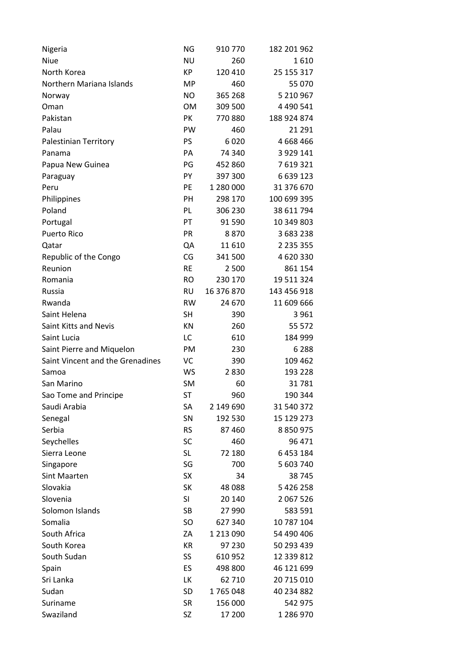| Nigeria                          | ΝG        | 910 770    | 182 201 962   |
|----------------------------------|-----------|------------|---------------|
| Niue                             | <b>NU</b> | 260        | 1610          |
| North Korea                      | КP        | 120 410    | 25 155 317    |
| Northern Mariana Islands         | MP        | 460        | 55 070        |
| Norway                           | ΝO        | 365 268    | 5 210 967     |
| Oman                             | 0M        | 309 500    | 4 490 541     |
| Pakistan                         | PК        | 770 880    | 188 924 874   |
| Palau                            | PW        | 460        | 21 291        |
| Palestinian Territory            | PS        | 6020       | 4 668 466     |
| Panama                           | PА        | 74 340     | 3 9 29 14 1   |
| Papua New Guinea                 | PG        | 452 860    | 7619321       |
| Paraguay                         | PY        | 397 300    | 6 639 123     |
| Peru                             | PE        | 1 280 000  | 31 376 670    |
| Philippines                      | PH        | 298 170    | 100 699 395   |
| Poland                           | PL        | 306 230    | 38 611 794    |
| Portugal                         | PT        | 91 590     | 10 349 803    |
| <b>Puerto Rico</b>               | PR        | 8870       | 3 683 238     |
| Qatar                            | QA        | 11 610     | 2 2 3 5 3 5 5 |
| Republic of the Congo            | CG        | 341 500    | 4620330       |
| Reunion                          | <b>RE</b> | 2 500      | 861 154       |
| Romania                          | <b>RO</b> | 230 170    | 19 511 324    |
| Russia                           | <b>RU</b> | 16 376 870 | 143 456 918   |
| Rwanda                           | <b>RW</b> | 24 670     | 11 609 666    |
| Saint Helena                     | SН        | 390        | 3 9 6 1       |
| Saint Kitts and Nevis            | KN        | 260        | 55 572        |
| Saint Lucia                      | LC        | 610        | 184 999       |
| Saint Pierre and Miquelon        | PM        | 230        | 6 2 8 8       |
| Saint Vincent and the Grenadines | VC        | 390        | 109 462       |
| Samoa                            | WS        | 2830       | 193 228       |
| San Marino                       | <b>SM</b> | 60         | 31781         |
| Sao Tome and Principe            | ST        | 960        | 190 344       |
| Saudi Arabia                     | SA        | 2 149 690  | 31 540 372    |
| Senegal                          | SN        | 192 530    | 15 129 273    |
| Serbia                           | <b>RS</b> | 87 460     | 8 8 5 0 9 7 5 |
| Seychelles                       | SC        | 460        | 96 471        |
| Sierra Leone                     | <b>SL</b> | 72 180     | 6453184       |
| Singapore                        | SG        | 700        | 5 603 740     |
| Sint Maarten                     | <b>SX</b> | 34         | 38745         |
| Slovakia                         | SK        | 48 0 88    | 5 4 2 6 2 5 8 |
| Slovenia                         | SI        | 20 140     | 2 067 526     |
| Solomon Islands                  | SB        | 27 990     | 583 591       |
| Somalia                          | <b>SO</b> | 627 340    | 10 787 104    |
| South Africa                     | ZA        | 1 213 090  | 54 490 406    |
| South Korea                      | KR        | 97 230     | 50 293 439    |
| South Sudan                      | SS        | 610 952    | 12 339 812    |
| Spain                            | ES        | 498 800    | 46 121 699    |
| Sri Lanka                        | LK        | 62 710     | 20 715 010    |
| Sudan                            | SD        | 1765048    | 40 234 882    |
| Suriname                         | <b>SR</b> | 156 000    | 542 975       |
| Swaziland                        | SZ        | 17 200     | 1 286 970     |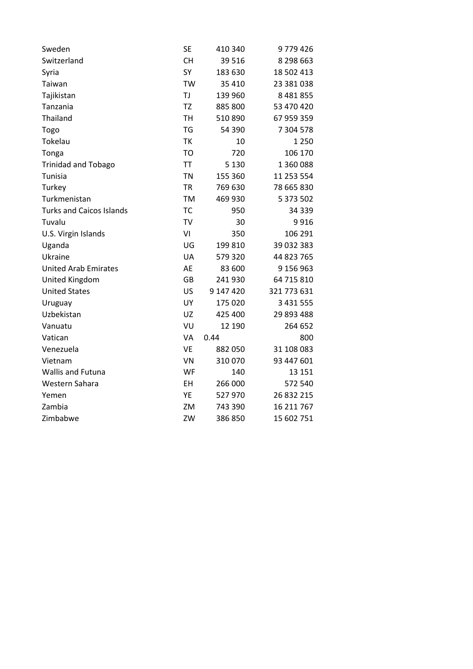| Sweden                          | <b>SE</b> | 410 340   | 9779426       |
|---------------------------------|-----------|-----------|---------------|
| Switzerland                     | <b>CH</b> | 39 5 16   | 8 298 663     |
| Syria                           | SY        | 183 630   | 18 502 413    |
| Taiwan                          | TW        | 35 4 10   | 23 381 038    |
| Tajikistan                      | TJ        | 139 960   | 8 4 8 1 8 5 5 |
| Tanzania                        | <b>TZ</b> | 885 800   | 53 470 420    |
| Thailand                        | TH        | 510 890   | 67 959 359    |
| Togo                            | TG        | 54 390    | 7 304 578     |
| Tokelau                         | ТK        | 10        | 1 2 5 0       |
| Tonga                           | <b>TO</b> | 720       | 106 170       |
| <b>Trinidad and Tobago</b>      | TT        | 5 1 3 0   | 1 360 088     |
| Tunisia                         | <b>TN</b> | 155 360   | 11 253 554    |
| Turkey                          | <b>TR</b> | 769 630   | 78 665 830    |
| Turkmenistan                    | TM        | 469 930   | 5 373 502     |
| <b>Turks and Caicos Islands</b> | TC        | 950       | 34 339        |
| Tuvalu                          | TV        | 30        | 9916          |
| U.S. Virgin Islands             | VI        | 350       | 106 291       |
| Uganda                          | UG        | 199 810   | 39 032 383    |
| Ukraine                         | UA        | 579 320   | 44 823 765    |
| <b>United Arab Emirates</b>     | AE        | 83 600    | 9 156 963     |
| United Kingdom                  | GB        | 241 930   | 64 715 810    |
| <b>United States</b>            | US        | 9 147 420 | 321 773 631   |
| Uruguay                         | UY        | 175 020   | 3 4 3 1 5 5 5 |
| Uzbekistan                      | UZ        | 425 400   | 29 893 488    |
| Vanuatu                         | VU        | 12 190    | 264 652       |
| Vatican                         | VA        | 0.44      | 800           |
| Venezuela                       | <b>VE</b> | 882 050   | 31 108 083    |
| Vietnam                         | VN        | 310070    | 93 447 601    |
| <b>Wallis and Futuna</b>        | WF        | 140       | 13 15 1       |
| Western Sahara                  | EН        | 266 000   | 572 540       |
| Yemen                           | YE        | 527 970   | 26 832 215    |
| Zambia                          | ZM        | 743 390   | 16 211 767    |
| Zimbabwe                        | ZW        | 386 850   | 15 602 751    |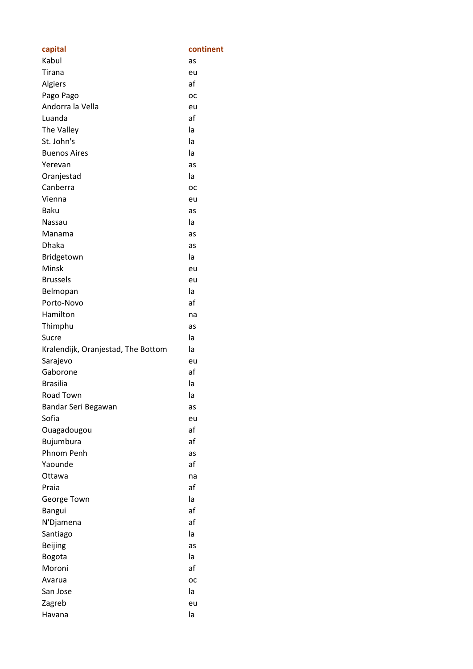| capital                            | continent |
|------------------------------------|-----------|
| Kabul                              | as        |
| Tirana                             | eu        |
| Algiers                            | af        |
| Pago Pago                          | oc        |
| Andorra la Vella                   | eu        |
| Luanda                             | af        |
| The Valley                         | la        |
| St. John's                         | la        |
| <b>Buenos Aires</b>                | la        |
| Yerevan                            | as        |
| Oranjestad                         | la        |
| Canberra                           | oc        |
| Vienna                             | eu        |
| <b>Baku</b>                        | as        |
| Nassau                             | la        |
| Manama                             | as        |
| <b>Dhaka</b>                       | as        |
| Bridgetown                         | la        |
| Minsk                              | eu        |
| <b>Brussels</b>                    | eu        |
| Belmopan                           | la        |
| Porto-Novo                         | af        |
| Hamilton                           | na        |
| Thimphu                            | as        |
| Sucre                              | la        |
| Kralendijk, Oranjestad, The Bottom | la        |
| Sarajevo                           | eu        |
| Gaborone                           | af        |
| <b>Brasilia</b>                    | la        |
| Road Town                          | la        |
| Bandar Seri Begawan                | as        |
| Sofia                              | eu        |
| Ouagadougou                        | af        |
| Bujumbura                          | af        |
| Phnom Penh                         | as        |
| Yaounde                            | af        |
| Ottawa                             | na        |
| Praia                              | af        |
| George Town                        | la        |
| <b>Bangui</b>                      | af        |
| N'Djamena                          | af        |
| Santiago                           | la        |
| Beijing                            | as        |
| Bogota                             | la        |
| Moroni                             | af        |
| Avarua                             | <b>OC</b> |
| San Jose                           | la        |
| Zagreb                             | eu        |
| Havana                             | la        |
|                                    |           |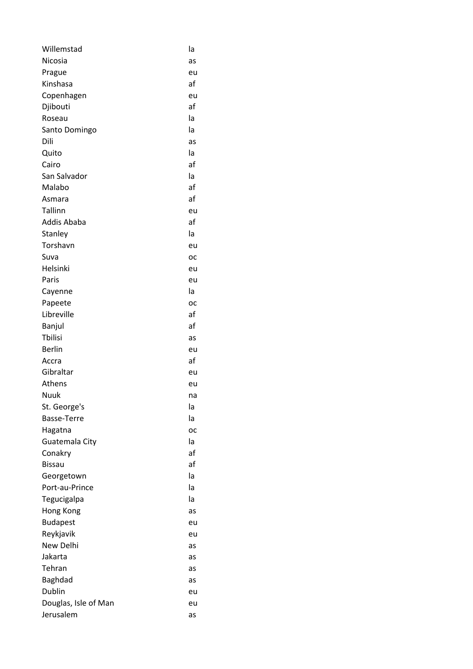| Willemstad           | la        |
|----------------------|-----------|
| Nicosia              | as        |
| Prague               | eu        |
| Kinshasa             | af        |
| Copenhagen           | eu        |
| Djibouti             | af        |
| Roseau               | la        |
| Santo Domingo        | la        |
| Dili                 | as        |
| Quito                | la        |
| Cairo                | af        |
| San Salvador         | la        |
| Malabo               | af        |
| Asmara               | af        |
| Tallinn              | eu        |
| Addis Ababa          | af        |
| Stanley              | la        |
| Torshavn             | eu        |
| Suva                 | oc        |
| Helsinki             | eu        |
| Paris                | eu        |
| Cayenne              | la        |
| Papeete              | <b>OC</b> |
| Libreville           | af        |
| Banjul               | af        |
| Tbilisi              | as        |
| <b>Berlin</b>        |           |
|                      | eu<br>af  |
| Accra<br>Gibraltar   |           |
| Athens               | eu        |
| Nuuk                 | eu        |
|                      | na        |
| St. George's         | la        |
| <b>Basse-Terre</b>   | la        |
| Hagatna              | oc        |
| Guatemala City       | la        |
| Conakry              | af        |
| <b>Bissau</b>        | af        |
| Georgetown           | la        |
| Port-au-Prince       | la        |
| Tegucigalpa          | la        |
| Hong Kong            | as        |
| <b>Budapest</b>      | eu        |
| Reykjavik            | eu        |
| New Delhi            | as        |
| Jakarta              | as        |
| Tehran               | as        |
| Baghdad              | as        |
| Dublin               | eu        |
| Douglas, Isle of Man | eu        |
| Jerusalem            | as        |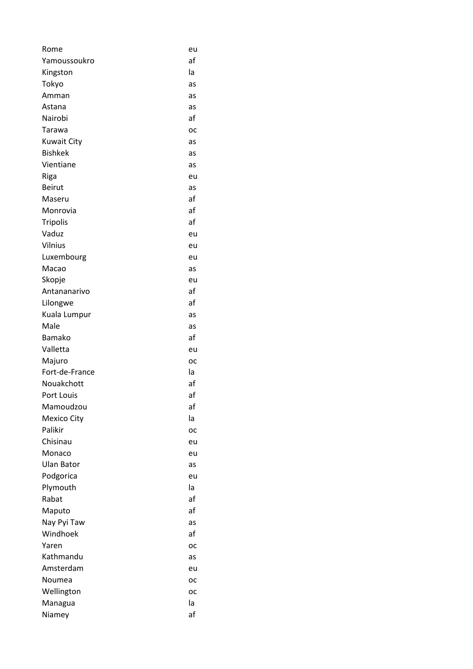| af<br>Yamoussoukro<br>la<br>Kingston<br>Tokyo<br>as<br>Amman<br>as<br>Astana<br>as<br>Nairobi<br>af<br>Tarawa<br>oc<br><b>Kuwait City</b><br>as<br><b>Bishkek</b><br>as<br>Vientiane<br>as<br>Riga<br>eu<br><b>Beirut</b><br>as<br>af<br>Maseru<br>Monrovia<br>af<br><b>Tripolis</b><br>af<br>Vaduz<br>eu<br>Vilnius<br>eu<br>Luxembourg<br>eu<br>Macao<br>as<br>Skopje<br>eu<br>Antananarivo<br>af<br>af<br>Lilongwe<br>Kuala Lumpur<br>as<br>Male<br>as<br><b>Bamako</b><br>af<br>Valletta<br>eu<br>Majuro<br>oc<br>Fort-de-France<br>la<br>Nouakchott<br>af<br>Port Louis<br>af<br>Mamoudzou<br>af<br>la<br>Mexico City<br>Palikir<br>oc<br>Chisinau<br>eu<br>Monaco<br>eu<br><b>Ulan Bator</b><br>as<br>Podgorica<br>eu<br>Plymouth<br>la<br>Rabat<br>аf<br>af<br>Maputo<br>Nay Pyi Taw<br>as<br>Windhoek<br>af<br>Yaren<br>oc<br>Kathmandu<br>as<br>Amsterdam<br>eu<br>Noumea<br>oc<br>Wellington<br>oc<br>la<br>Managua<br>af | Rome   | eu |
|-------------------------------------------------------------------------------------------------------------------------------------------------------------------------------------------------------------------------------------------------------------------------------------------------------------------------------------------------------------------------------------------------------------------------------------------------------------------------------------------------------------------------------------------------------------------------------------------------------------------------------------------------------------------------------------------------------------------------------------------------------------------------------------------------------------------------------------------------------------------------------------------------------------------------------------|--------|----|
|                                                                                                                                                                                                                                                                                                                                                                                                                                                                                                                                                                                                                                                                                                                                                                                                                                                                                                                                     |        |    |
|                                                                                                                                                                                                                                                                                                                                                                                                                                                                                                                                                                                                                                                                                                                                                                                                                                                                                                                                     |        |    |
|                                                                                                                                                                                                                                                                                                                                                                                                                                                                                                                                                                                                                                                                                                                                                                                                                                                                                                                                     |        |    |
|                                                                                                                                                                                                                                                                                                                                                                                                                                                                                                                                                                                                                                                                                                                                                                                                                                                                                                                                     |        |    |
|                                                                                                                                                                                                                                                                                                                                                                                                                                                                                                                                                                                                                                                                                                                                                                                                                                                                                                                                     |        |    |
|                                                                                                                                                                                                                                                                                                                                                                                                                                                                                                                                                                                                                                                                                                                                                                                                                                                                                                                                     |        |    |
|                                                                                                                                                                                                                                                                                                                                                                                                                                                                                                                                                                                                                                                                                                                                                                                                                                                                                                                                     |        |    |
|                                                                                                                                                                                                                                                                                                                                                                                                                                                                                                                                                                                                                                                                                                                                                                                                                                                                                                                                     |        |    |
|                                                                                                                                                                                                                                                                                                                                                                                                                                                                                                                                                                                                                                                                                                                                                                                                                                                                                                                                     |        |    |
|                                                                                                                                                                                                                                                                                                                                                                                                                                                                                                                                                                                                                                                                                                                                                                                                                                                                                                                                     |        |    |
|                                                                                                                                                                                                                                                                                                                                                                                                                                                                                                                                                                                                                                                                                                                                                                                                                                                                                                                                     |        |    |
|                                                                                                                                                                                                                                                                                                                                                                                                                                                                                                                                                                                                                                                                                                                                                                                                                                                                                                                                     |        |    |
|                                                                                                                                                                                                                                                                                                                                                                                                                                                                                                                                                                                                                                                                                                                                                                                                                                                                                                                                     |        |    |
|                                                                                                                                                                                                                                                                                                                                                                                                                                                                                                                                                                                                                                                                                                                                                                                                                                                                                                                                     |        |    |
|                                                                                                                                                                                                                                                                                                                                                                                                                                                                                                                                                                                                                                                                                                                                                                                                                                                                                                                                     |        |    |
|                                                                                                                                                                                                                                                                                                                                                                                                                                                                                                                                                                                                                                                                                                                                                                                                                                                                                                                                     |        |    |
|                                                                                                                                                                                                                                                                                                                                                                                                                                                                                                                                                                                                                                                                                                                                                                                                                                                                                                                                     |        |    |
|                                                                                                                                                                                                                                                                                                                                                                                                                                                                                                                                                                                                                                                                                                                                                                                                                                                                                                                                     |        |    |
|                                                                                                                                                                                                                                                                                                                                                                                                                                                                                                                                                                                                                                                                                                                                                                                                                                                                                                                                     |        |    |
|                                                                                                                                                                                                                                                                                                                                                                                                                                                                                                                                                                                                                                                                                                                                                                                                                                                                                                                                     |        |    |
|                                                                                                                                                                                                                                                                                                                                                                                                                                                                                                                                                                                                                                                                                                                                                                                                                                                                                                                                     |        |    |
|                                                                                                                                                                                                                                                                                                                                                                                                                                                                                                                                                                                                                                                                                                                                                                                                                                                                                                                                     |        |    |
|                                                                                                                                                                                                                                                                                                                                                                                                                                                                                                                                                                                                                                                                                                                                                                                                                                                                                                                                     |        |    |
|                                                                                                                                                                                                                                                                                                                                                                                                                                                                                                                                                                                                                                                                                                                                                                                                                                                                                                                                     |        |    |
|                                                                                                                                                                                                                                                                                                                                                                                                                                                                                                                                                                                                                                                                                                                                                                                                                                                                                                                                     |        |    |
|                                                                                                                                                                                                                                                                                                                                                                                                                                                                                                                                                                                                                                                                                                                                                                                                                                                                                                                                     |        |    |
|                                                                                                                                                                                                                                                                                                                                                                                                                                                                                                                                                                                                                                                                                                                                                                                                                                                                                                                                     |        |    |
|                                                                                                                                                                                                                                                                                                                                                                                                                                                                                                                                                                                                                                                                                                                                                                                                                                                                                                                                     |        |    |
|                                                                                                                                                                                                                                                                                                                                                                                                                                                                                                                                                                                                                                                                                                                                                                                                                                                                                                                                     |        |    |
|                                                                                                                                                                                                                                                                                                                                                                                                                                                                                                                                                                                                                                                                                                                                                                                                                                                                                                                                     |        |    |
|                                                                                                                                                                                                                                                                                                                                                                                                                                                                                                                                                                                                                                                                                                                                                                                                                                                                                                                                     |        |    |
|                                                                                                                                                                                                                                                                                                                                                                                                                                                                                                                                                                                                                                                                                                                                                                                                                                                                                                                                     |        |    |
|                                                                                                                                                                                                                                                                                                                                                                                                                                                                                                                                                                                                                                                                                                                                                                                                                                                                                                                                     |        |    |
|                                                                                                                                                                                                                                                                                                                                                                                                                                                                                                                                                                                                                                                                                                                                                                                                                                                                                                                                     |        |    |
|                                                                                                                                                                                                                                                                                                                                                                                                                                                                                                                                                                                                                                                                                                                                                                                                                                                                                                                                     |        |    |
|                                                                                                                                                                                                                                                                                                                                                                                                                                                                                                                                                                                                                                                                                                                                                                                                                                                                                                                                     |        |    |
|                                                                                                                                                                                                                                                                                                                                                                                                                                                                                                                                                                                                                                                                                                                                                                                                                                                                                                                                     |        |    |
|                                                                                                                                                                                                                                                                                                                                                                                                                                                                                                                                                                                                                                                                                                                                                                                                                                                                                                                                     |        |    |
|                                                                                                                                                                                                                                                                                                                                                                                                                                                                                                                                                                                                                                                                                                                                                                                                                                                                                                                                     |        |    |
|                                                                                                                                                                                                                                                                                                                                                                                                                                                                                                                                                                                                                                                                                                                                                                                                                                                                                                                                     |        |    |
|                                                                                                                                                                                                                                                                                                                                                                                                                                                                                                                                                                                                                                                                                                                                                                                                                                                                                                                                     |        |    |
|                                                                                                                                                                                                                                                                                                                                                                                                                                                                                                                                                                                                                                                                                                                                                                                                                                                                                                                                     |        |    |
|                                                                                                                                                                                                                                                                                                                                                                                                                                                                                                                                                                                                                                                                                                                                                                                                                                                                                                                                     |        |    |
|                                                                                                                                                                                                                                                                                                                                                                                                                                                                                                                                                                                                                                                                                                                                                                                                                                                                                                                                     |        |    |
|                                                                                                                                                                                                                                                                                                                                                                                                                                                                                                                                                                                                                                                                                                                                                                                                                                                                                                                                     |        |    |
|                                                                                                                                                                                                                                                                                                                                                                                                                                                                                                                                                                                                                                                                                                                                                                                                                                                                                                                                     |        |    |
|                                                                                                                                                                                                                                                                                                                                                                                                                                                                                                                                                                                                                                                                                                                                                                                                                                                                                                                                     |        |    |
|                                                                                                                                                                                                                                                                                                                                                                                                                                                                                                                                                                                                                                                                                                                                                                                                                                                                                                                                     |        |    |
|                                                                                                                                                                                                                                                                                                                                                                                                                                                                                                                                                                                                                                                                                                                                                                                                                                                                                                                                     | Niamey |    |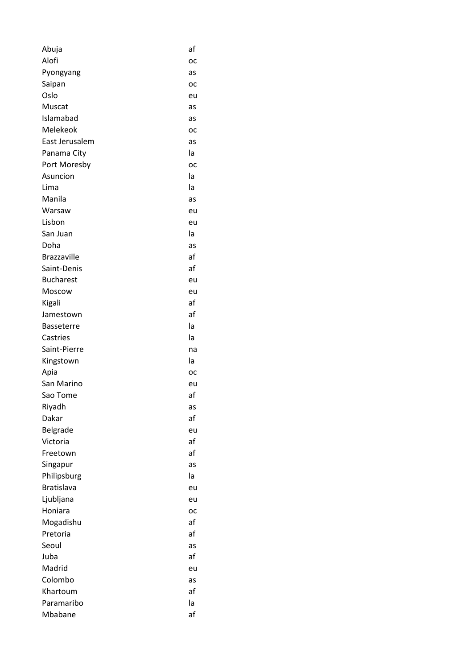| Abuja              | af |
|--------------------|----|
| Alofi              | oc |
| Pyongyang          | as |
| Saipan             | ос |
| Oslo               | eu |
| Muscat             | as |
| Islamabad          | as |
| Melekeok           | oc |
| East Jerusalem     | as |
| Panama City        | la |
| Port Moresby       | oc |
| Asuncion           | la |
| Lima               | la |
| Manila             | as |
| Warsaw             | eu |
| Lisbon             | eu |
| San Juan           | la |
| Doha               | as |
| <b>Brazzaville</b> | af |
| Saint-Denis        | af |
| <b>Bucharest</b>   | eu |
| Moscow             | eu |
| Kigali             | af |
| Jamestown          | af |
| <b>Basseterre</b>  | la |
| Castries           | la |
| Saint-Pierre       | na |
| Kingstown          | la |
| Apia               | oc |
| San Marino         | eu |
| Sao Tome           | af |
| Riyadh             | as |
| Dakar              | af |
| Belgrade           | eu |
| Victoria           | af |
| Freetown           | af |
| Singapur           | as |
| Philipsburg        | la |
| <b>Bratislava</b>  | eu |
| Ljubljana          | eu |
| Honiara            | oc |
| Mogadishu          | af |
| Pretoria           | af |
| Seoul              | as |
| Juba               | af |
| Madrid             | eu |
| Colombo            | as |
| Khartoum           | af |
| Paramaribo         | la |
| Mbabane            | af |